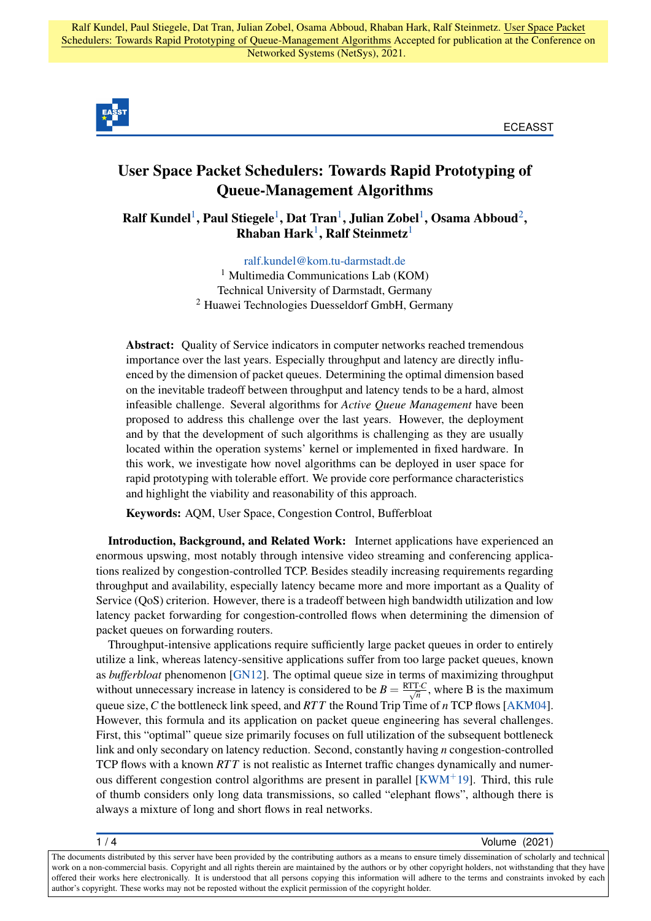

ECEASST

## User Space Packet Schedulers: Towards Rapid Prototyping of Queue-Management Algorithms

<span id="page-0-0"></span> $\bold{Ralf}$  Kundel $^1$  $^1$ , Paul Stiegele $^1$ , Dat Tran $^1$ , Julian Zobel $^1$ , Osama Abboud $^2$  $^2$ ,  $Rhaban$  Hark<sup>[1](#page-0-0)</sup>, Ralf Steinmetz<sup>1</sup>

> [ralf.kundel@kom.tu-darmstadt.de](mailto:ralf.kundel@kom.tu-darmstadt.de) <sup>1</sup> Multimedia Communications Lab (KOM) Technical University of Darmstadt, Germany <sup>2</sup> Huawei Technologies Duesseldorf GmbH, Germany

<span id="page-0-1"></span>Abstract: Quality of Service indicators in computer networks reached tremendous importance over the last years. Especially throughput and latency are directly influenced by the dimension of packet queues. Determining the optimal dimension based on the inevitable tradeoff between throughput and latency tends to be a hard, almost infeasible challenge. Several algorithms for *Active Queue Management* have been proposed to address this challenge over the last years. However, the deployment and by that the development of such algorithms is challenging as they are usually located within the operation systems' kernel or implemented in fixed hardware. In this work, we investigate how novel algorithms can be deployed in user space for rapid prototyping with tolerable effort. We provide core performance characteristics and highlight the viability and reasonability of this approach.

Keywords: AQM, User Space, Congestion Control, Bufferbloat

Introduction, Background, and Related Work: Internet applications have experienced an enormous upswing, most notably through intensive video streaming and conferencing applications realized by congestion-controlled TCP. Besides steadily increasing requirements regarding throughput and availability, especially latency became more and more important as a Quality of Service (QoS) criterion. However, there is a tradeoff between high bandwidth utilization and low latency packet forwarding for congestion-controlled flows when determining the dimension of packet queues on forwarding routers.

Throughput-intensive applications require sufficiently large packet queues in order to entirely utilize a link, whereas latency-sensitive applications suffer from too large packet queues, known as *bufferbloat* phenomenon [\[GN12\]](#page-3-0). The optimal queue size in terms of maximizing throughput without unnecessary increase in latency is considered to be  $B = \frac{RTTC}{\sqrt{n}}$ , where B is the maximum queue size,*C* the bottleneck link speed, and *RT T* the Round Trip Time of *n* TCP flows [\[AKM04\]](#page-3-1). However, this formula and its application on packet queue engineering has several challenges. First, this "optimal" queue size primarily focuses on full utilization of the subsequent bottleneck link and only secondary on latency reduction. Second, constantly having *n* congestion-controlled TCP flows with a known *RT T* is not realistic as Internet traffic changes dynamically and numerous different congestion control algorithms are present in parallel  $KWM^+19$ . Third, this rule of thumb considers only long data transmissions, so called "elephant flows", although there is always a mixture of long and short flows in real networks.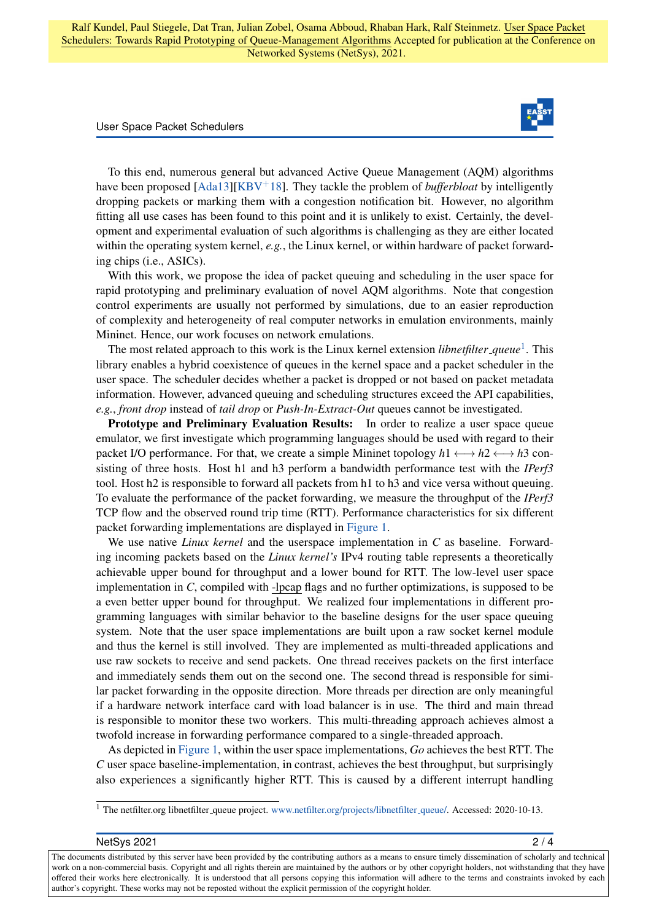## User Space Packet Schedulers



To this end, numerous general but advanced Active Queue Management (AQM) algorithms have been proposed [\[Ada13\]](#page-3-3)[\[KBV](#page-3-4)+18]. They tackle the problem of *bufferbloat* by intelligently dropping packets or marking them with a congestion notification bit. However, no algorithm fitting all use cases has been found to this point and it is unlikely to exist. Certainly, the development and experimental evaluation of such algorithms is challenging as they are either located within the operating system kernel, *e.g.*, the Linux kernel, or within hardware of packet forwarding chips (i.e., ASICs).

With this work, we propose the idea of packet queuing and scheduling in the user space for rapid prototyping and preliminary evaluation of novel AQM algorithms. Note that congestion control experiments are usually not performed by simulations, due to an easier reproduction of complexity and heterogeneity of real computer networks in emulation environments, mainly Mininet. Hence, our work focuses on network emulations.

The most related approach to this work is the Linux kernel extension *libnetfilter\_queue*<sup>[1](#page-1-0)</sup>. This library enables a hybrid coexistence of queues in the kernel space and a packet scheduler in the user space. The scheduler decides whether a packet is dropped or not based on packet metadata information. However, advanced queuing and scheduling structures exceed the API capabilities, *e.g.*, *front drop* instead of *tail drop* or *Push-In-Extract-Out* queues cannot be investigated.

Prototype and Preliminary Evaluation Results: In order to realize a user space queue emulator, we first investigate which programming languages should be used with regard to their packet I/O performance. For that, we create a simple Mininet topology  $h1 \leftrightarrow h2 \leftrightarrow h3$  consisting of three hosts. Host h1 and h3 perform a bandwidth performance test with the *IPerf3* tool. Host h2 is responsible to forward all packets from h1 to h3 and vice versa without queuing. To evaluate the performance of the packet forwarding, we measure the throughput of the *IPerf3* TCP flow and the observed round trip time (RTT). Performance characteristics for six different packet forwarding implementations are displayed in [Figure 1.](#page-2-0)

We use native *Linux kernel* and the userspace implementation in *C* as baseline. Forwarding incoming packets based on the *Linux kernel's* IPv4 routing table represents a theoretically achievable upper bound for throughput and a lower bound for RTT. The low-level user space implementation in *C*, compiled with -lpcap flags and no further optimizations, is supposed to be a even better upper bound for throughput. We realized four implementations in different programming languages with similar behavior to the baseline designs for the user space queuing system. Note that the user space implementations are built upon a raw socket kernel module and thus the kernel is still involved. They are implemented as multi-threaded applications and use raw sockets to receive and send packets. One thread receives packets on the first interface and immediately sends them out on the second one. The second thread is responsible for similar packet forwarding in the opposite direction. More threads per direction are only meaningful if a hardware network interface card with load balancer is in use. The third and main thread is responsible to monitor these two workers. This multi-threading approach achieves almost a twofold increase in forwarding performance compared to a single-threaded approach.

As depicted in [Figure 1,](#page-2-0) within the user space implementations, *Go* achieves the best RTT. The *C* user space baseline-implementation, in contrast, achieves the best throughput, but surprisingly also experiences a significantly higher RTT. This is caused by a different interrupt handling

<span id="page-1-0"></span><sup>&</sup>lt;sup>1</sup> The netfilter.org libnetfilter\_queue project. [www.netfilter.org/projects/libnetfilter](www.netfilter.org/projects/libnetfilter_queue/)\_queue/. Accessed: 2020-10-13.

| NetSys 2021                                                                                                                                                   | 2/4 |
|---------------------------------------------------------------------------------------------------------------------------------------------------------------|-----|
| The documents distributed by this server have been provided by the contributing authors as a means to ensure timely dissemination of scholarly and technical  |     |
| work on a non-commercial basis. Copyright and all rights therein are maintained by the authors or by other copyright holders, not withstanding that they have |     |
| offered their works here electronically. It is understood that all persons copying this information will adhere to the terms and constraints invoked by each  |     |
| author's copyright. These works may not be reposted without the explicit permission of the copyright holder.                                                  |     |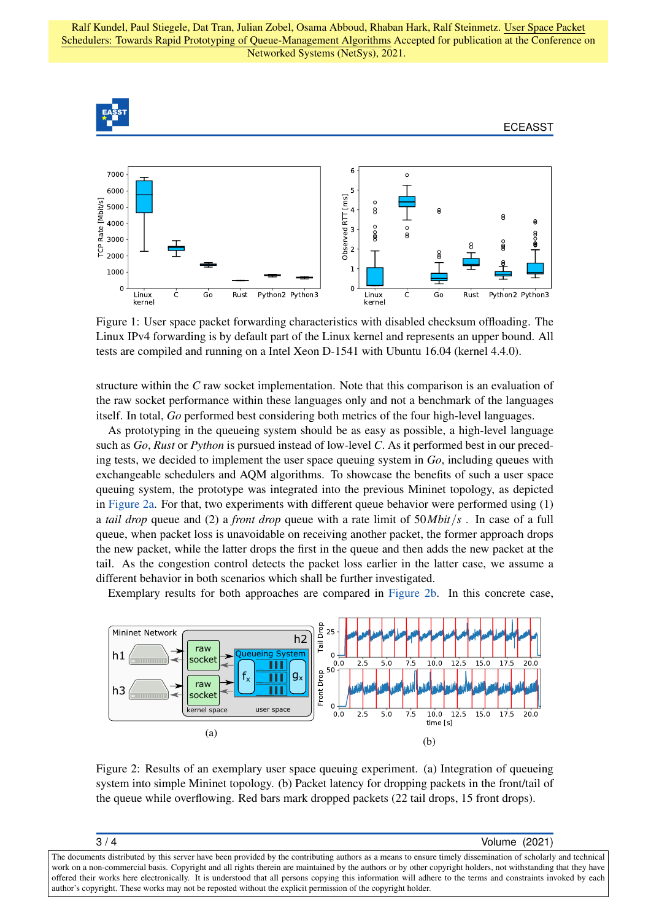Ralf Kundel, Paul Stiegele, Dat Tran, Julian Zobel, Osama Abboud, Rhaban Hark, Ralf Steinmetz. User Space Packet Schedulers: Towards Rapid Prototyping of Queue-Management Algorithms Accepted for publication at the Conference on Networked Systems (NetSys), 2021.

<span id="page-2-0"></span>

Figure 1: User space packet forwarding characteristics with disabled checksum offloading. The Linux IPv4 forwarding is by default part of the Linux kernel and represents an upper bound. All tests are compiled and running on a Intel Xeon D-1541 with Ubuntu 16.04 (kernel 4.4.0).

structure within the *C* raw socket implementation. Note that this comparison is an evaluation of the raw socket performance within these languages only and not a benchmark of the languages itself. In total, *Go* performed best considering both metrics of the four high-level languages.

As prototyping in the queueing system should be as easy as possible, a high-level language such as *Go*, *Rust* or *Python* is pursued instead of low-level *C*. As it performed best in our preceding tests, we decided to implement the user space queuing system in *Go*, including queues with exchangeable schedulers and AQM algorithms. To showcase the benefits of such a user space queuing system, the prototype was integrated into the previous Mininet topology, as depicted in [Figure 2a.](#page-2-1) For that, two experiments with different queue behavior were performed using (1) a *tail drop* queue and (2) a *front drop* queue with a rate limit of 50*Mbit*/*s* . In case of a full queue, when packet loss is unavoidable on receiving another packet, the former approach drops the new packet, while the latter drops the first in the queue and then adds the new packet at the tail. As the congestion control detects the packet loss earlier in the latter case, we assume a different behavior in both scenarios which shall be further investigated.

Exemplary results for both approaches are compared in [Figure 2b.](#page-2-1) In this concrete case,

<span id="page-2-1"></span>

Figure 2: Results of an exemplary user space queuing experiment. (a) Integration of queueing system into simple Mininet topology. (b) Packet latency for dropping packets in the front/tail of the queue while overflowing. Red bars mark dropped packets (22 tail drops, 15 front drops).

| 3/4                                                                                                                                                           | Volume (2021) |
|---------------------------------------------------------------------------------------------------------------------------------------------------------------|---------------|
| The documents distributed by this server have been provided by the contributing authors as a means to ensure timely dissemination of scholarly and technical  |               |
| work on a non-commercial basis. Copyright and all rights therein are maintained by the authors or by other copyright holders, not withstanding that they have |               |
| offered their works here electronically. It is understood that all persons copying this information will adhere to the terms and constraints invoked by each  |               |
| author's copyright. These works may not be reposted without the explicit permission of the copyright holder.                                                  |               |